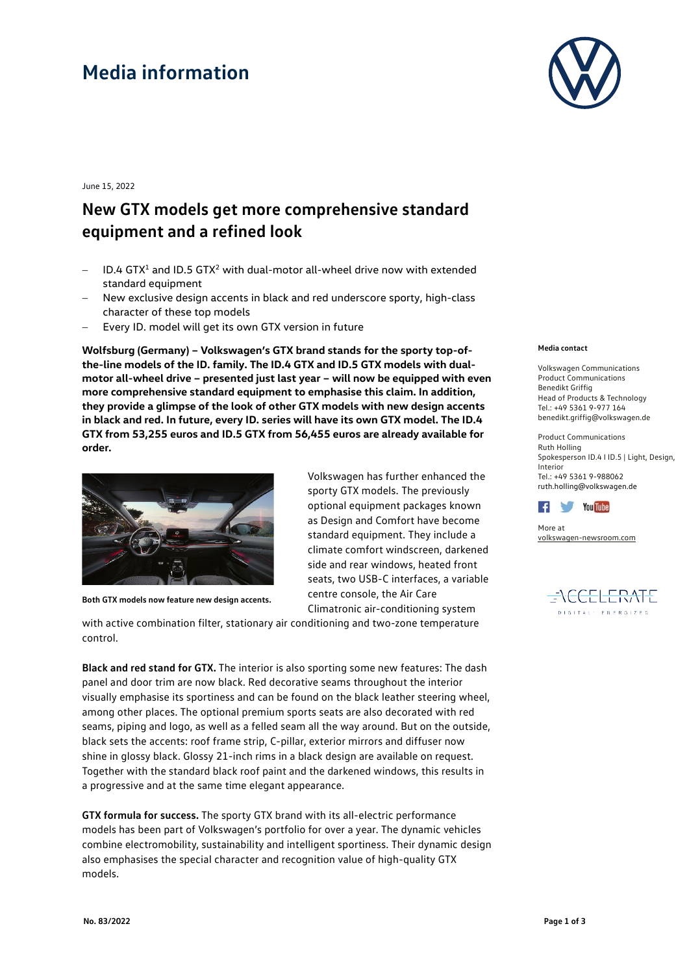# **Media information**



June 15, 2022

### **New GTX models get more comprehensive standard equipment and a refined look**

- $1D.4$  GTX<sup>1</sup> and ID.5 GTX<sup>2</sup> with dual-motor all-wheel drive now with extended standard equipment
- − New exclusive design accents in black and red underscore sporty, high-class character of these top models
- Every ID. model will get its own GTX version in future

**Wolfsburg (Germany) – Volkswagen's GTX brand stands for the sporty top-ofthe-line models of the ID. family. The ID.4 GTX and ID.5 GTX models with dualmotor all-wheel drive – presented just last year – will now be equipped with even more comprehensive standard equipment to emphasise this claim. In addition, they provide a glimpse of the look of other GTX models with new design accents in black and red. In future, every ID. series will have its own GTX model. The ID.4 GTX from 53,255 euros and ID.5 GTX from 56,455 euros are already available for order.**



**Both GTX models now feature new design accents.** 

Volkswagen has further enhanced the sporty GTX models. The previously optional equipment packages known as Design and Comfort have become standard equipment. They include a climate comfort windscreen, darkened side and rear windows, heated front seats, two USB-C interfaces, a variable centre console, the Air Care Climatronic air-conditioning system

with active combination filter, stationary air conditioning and two-zone temperature control.

**Black and red stand for GTX.** The interior is also sporting some new features: The dash panel and door trim are now black. Red decorative seams throughout the interior visually emphasise its sportiness and can be found on the black leather steering wheel, among other places. The optional premium sports seats are also decorated with red seams, piping and logo, as well as a felled seam all the way around. But on the outside, black sets the accents: roof frame strip, C-pillar, exterior mirrors and diffuser now shine in glossy black. Glossy 21-inch rims in a black design are available on request. Together with the standard black roof paint and the darkened windows, this results in a progressive and at the same time elegant appearance.

**GTX formula for success.** The sporty GTX brand with its all-electric performance models has been part of Volkswagen's portfolio for over a year. The dynamic vehicles combine electromobility, sustainability and intelligent sportiness. Their dynamic design also emphasises the special character and recognition value of high-quality GTX models.

#### **Media contact**

Volkswagen Communications Product Communications Benedikt Griffig Head of Products & Technology  $Tel: +49 5361 9 - 977 164$ benedikt.griffig@volkswagen.de

Product Communications Ruth Holling Spokesperson ID.4 I ID.5 | Light, Design, Interior Tel.: +49 5361 9-988062 [ruth.holling@volkswagen.de](mailto:ruth.holling@volkswagen.de)



More at [volkswagen-newsroom.com](https://www.volkswagen-media-services.com/)

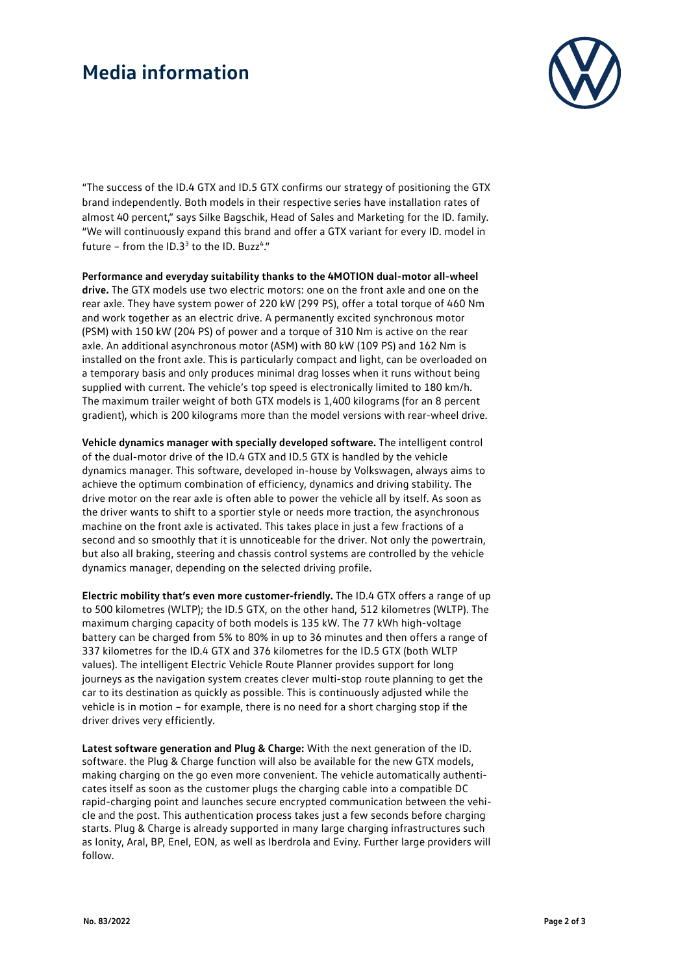## **Media information**



"The success of the ID.4 GTX and ID.5 GTX confirms our strategy of positioning the GTX brand independently. Both models in their respective series have installation rates of almost 40 percent," says Silke Bagschik, Head of Sales and Marketing for the ID. family. "We will continuously expand this brand and offer a GTX variant for every ID. model in future - from the  $ID.3<sup>3</sup>$  to the ID. Buzz<sup>4</sup>."

**Performance and everyday suitability thanks to the 4MOTION dual-motor all-wheel drive.** The GTX models use two electric motors: one on the front axle and one on the rear axle. They have system power of 220 kW (299 PS), offer a total torque of 460 Nm and work together as an electric drive. A permanently excited synchronous motor (PSM) with 150 kW (204 PS) of power and a torque of 310 Nm is active on the rear axle. An additional asynchronous motor (ASM) with 80 kW (109 PS) and 162 Nm is installed on the front axle. This is particularly compact and light, can be overloaded on a temporary basis and only produces minimal drag losses when it runs without being supplied with current. The vehicle's top speed is electronically limited to 180 km/h. The maximum trailer weight of both GTX models is 1,400 kilograms (for an 8 percent gradient), which is 200 kilograms more than the model versions with rear-wheel drive.

**Vehicle dynamics manager with specially developed software.** The intelligent control of the dual-motor drive of the ID.4 GTX and ID.5 GTX is handled by the vehicle dynamics manager. This software, developed in-house by Volkswagen, always aims to achieve the optimum combination of efficiency, dynamics and driving stability. The drive motor on the rear axle is often able to power the vehicle all by itself. As soon as the driver wants to shift to a sportier style or needs more traction, the asynchronous machine on the front axle is activated. This takes place in just a few fractions of a second and so smoothly that it is unnoticeable for the driver. Not only the powertrain, but also all braking, steering and chassis control systems are controlled by the vehicle dynamics manager, depending on the selected driving profile.

**Electric mobility that's even more customer-friendly.** The ID.4 GTX offers a range of up to 500 kilometres (WLTP); the ID.5 GTX, on the other hand, 512 kilometres (WLTP). The maximum charging capacity of both models is 135 kW. The 77 kWh high-voltage battery can be charged from 5% to 80% in up to 36 minutes and then offers a range of 337 kilometres for the ID.4 GTX and 376 kilometres for the ID.5 GTX (both WLTP values). The intelligent Electric Vehicle Route Planner provides support for long journeys as the navigation system creates clever multi-stop route planning to get the car to its destination as quickly as possible. This is continuously adjusted while the vehicle is in motion – for example, there is no need for a short charging stop if the driver drives very efficiently.

**Latest software generation and Plug & Charge:** With the next generation of the ID. software. the Plug & Charge function will also be available for the new GTX models, making charging on the go even more convenient. The vehicle automatically authenticates itself as soon as the customer plugs the charging cable into a compatible DC rapid-charging point and launches secure encrypted communication between the vehicle and the post. This authentication process takes just a few seconds before charging starts. Plug & Charge is already supported in many large charging infrastructures such as Ionity, Aral, BP, Enel, EON, as well as Iberdrola and Eviny. Further large providers will follow.